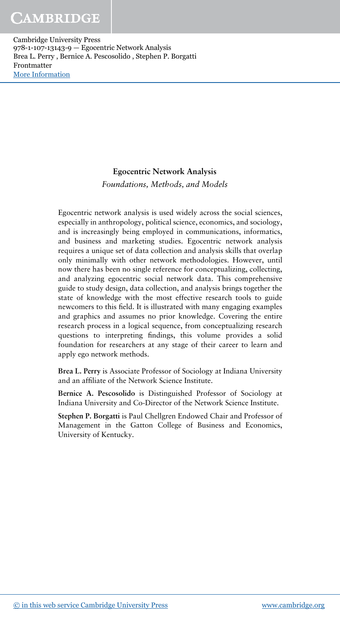### Egocentric Network Analysis

*Foundations, Methods, and Models*

Egocentric network analysis is used widely across the social sciences, especially in anthropology, political science, economics, and sociology, and is increasingly being employed in communications, informatics, and business and marketing studies. Egocentric network analysis requires a unique set of data collection and analysis skills that overlap only minimally with other network methodologies. However, until now there has been no single reference for conceptualizing, collecting, and analyzing egocentric social network data. This comprehensive guide to study design, data collection, and analysis brings together the state of knowledge with the most effective research tools to guide newcomers to this field. It is illustrated with many engaging examples and graphics and assumes no prior knowledge. Covering the entire research process in a logical sequence, from conceptualizing research questions to interpreting findings, this volume provides a solid foundation for researchers at any stage of their career to learn and apply ego network methods.

Brea L. Perry is Associate Professor of Sociology at Indiana University and an affiliate of the Network Science Institute.

Bernice A. Pescosolido is Distinguished Professor of Sociology at Indiana University and Co-Director of the Network Science Institute.

Stephen P. Borgatti is Paul Chellgren Endowed Chair and Professor of Management in the Gatton College of Business and Economics, University of Kentucky.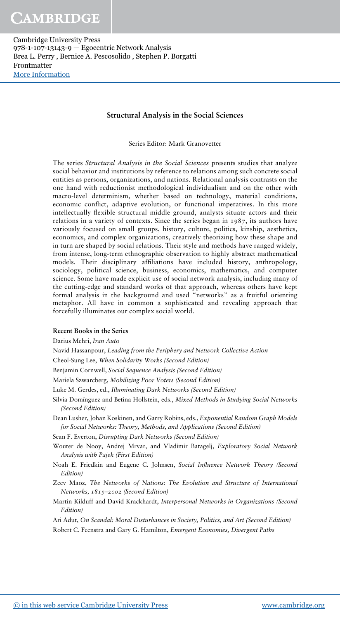#### Structural Analysis in the Social Sciences

Series Editor: Mark Granovetter

The series *Structural Analysis in the Social Sciences* presents studies that analyze social behavior and institutions by reference to relations among such concrete social entities as persons, organizations, and nations. Relational analysis contrasts on the one hand with reductionist methodological individualism and on the other with macro-level determinism, whether based on technology, material conditions, economic conflict, adaptive evolution, or functional imperatives. In this more intellectually flexible structural middle ground, analysts situate actors and their relations in a variety of contexts. Since the series began in 1987, its authors have variously focused on small groups, history, culture, politics, kinship, aesthetics, economics, and complex organizations, creatively theorizing how these shape and in turn are shaped by social relations. Their style and methods have ranged widely, from intense, long-term ethnographic observation to highly abstract mathematical models. Their disciplinary affiliations have included history, anthropology, sociology, political science, business, economics, mathematics, and computer science. Some have made explicit use of social network analysis, including many of the cutting-edge and standard works of that approach, whereas others have kept formal analysis in the background and used "networks" as a fruitful orienting metaphor. All have in common a sophisticated and revealing approach that forcefully illuminates our complex social world.

#### Recent Books in the Series

Darius Mehri, *Iran Auto*

Navid Hassanpour, *Leading from the Periphery and Network Collective Action*

Cheol-Sung Lee, *When Solidarity Works (Second Edition)*

- Benjamin Cornwell, *Social Sequence Analysis (Second Edition)*
- Mariela Szwarcberg, *Mobilizing Poor Voters (Second Edition)*
- Luke M. Gerdes, ed., *Illuminating Dark Networks (Second Edition)*
- Silvia Domínguez and Betina Hollstein, eds., *Mixed Methods in Studying Social Networks (Second Edition)*
- Dean Lusher, Johan Koskinen, and Garry Robins, eds., *Exponential Random Graph Models for Social Networks: Theory, Methods, and Applications (Second Edition)*
- Sean F. Everton, *Disrupting Dark Networks (Second Edition)*
- Wouter de Nooy, Andrej Mrvar, and Vladimir Batagelj, *Exploratory Social Network Analysis with Pajek (First Edition)*
- Noah E. Friedkin and Eugene C. Johnsen, *Social In*fl*uence Network Theory (Second Edition)*
- Zeev Maoz, *The Networks of Nations: The Evolution and Structure of International Networks, 1815*–*2002 (Second Edition)*
- Martin Kilduff and David Krackhardt, *Interpersonal Networks in Organizations (Second Edition)*

Ari Adut, On Scandal: Moral Disturbances in Society, Politics, and Art (Second Edition) Robert C. Feenstra and Gary G. Hamilton, *Emergent Economies, Divergent Paths*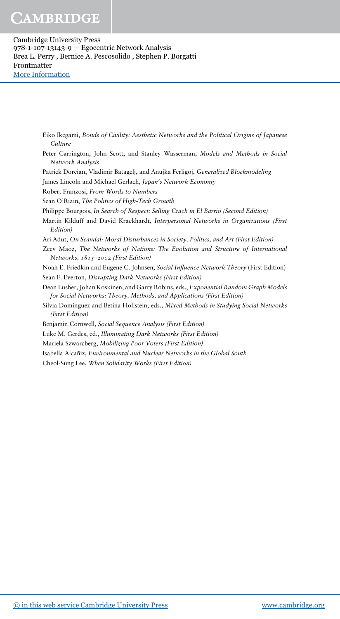Cambridge University Press 978-1-107-13143-9 — Egocentric Network Analysis Brea L. Perry , Bernice A. Pescosolido , Stephen P. Borgatti Frontmatter [More Information](www.cambridge.org/9781107131439)

> Eiko Ikegami, Bonds of Civility: Aesthetic Networks and the Political Origins of Japanese *Culture* Peter Carrington, John Scott, and Stanley Wasserman, *Models and Methods in Social Network Analysis* Patrick Doreian, Vladimir Batagelj, and Anujka Ferligoj, *Generalized Blockmodeling* James Lincoln and Michael Gerlach, *Japan*'*s Network Economy* Robert Franzosi, *From Words to Numbers* Sean O'Riain, *The Politics of High-Tech Growth* Philippe Bourgois, In Search of Respect: Selling Crack in El Barrio (Second Edition) Martin Kilduff and David Krackhardt, *Interpersonal Networks in Organizations (First Edition)* Ari Adut, On Scandal: Moral Disturbances in Society, Politics, and Art (First Edition) Zeev Maoz, *The Networks of Nations: The Evolution and Structure of International Networks, 1815*–*2002 (First Edition)* Noah E. Friedkin and Eugene C. Johnsen, *Social In*fl*uence Network Theory* (First Edition) Sean F. Everton, *Disrupting Dark Networks (First Edition)* Dean Lusher, Johan Koskinen, and Garry Robins, eds., *Exponential Random Graph Models for Social Networks: Theory, Methods, and Applications (First Edition)* Silvia Domínguez and Betina Hollstein, eds., *Mixed Methods in Studying Social Networks (First Edition)* Benjamin Cornwell, *Social Sequence Analysis (First Edition)* Luke M. Gerdes, ed., *Illuminating Dark Networks (First Edition)* Mariela Szwarcberg, *Mobilizing Poor Voters (First Edition)* Isabella Alcañiz, *Environmental and Nuclear Networks in the Global South* Cheol-Sung Lee, *When Solidarity Works (First Edition)*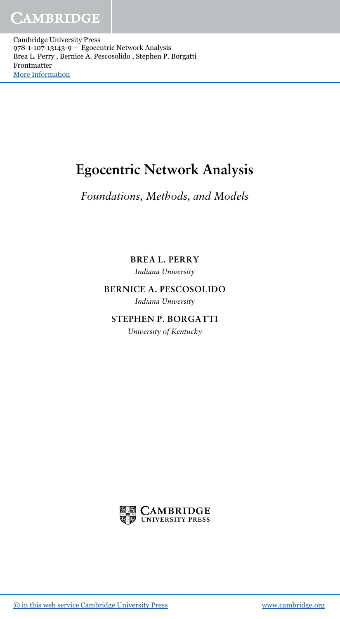# Egocentric Network Analysis

*Foundations, Methods, and Models*

BREA L. PERRY *Indiana University*

BERNICE A. PESCOSOLIDO *Indiana University*

STEPHEN P. BORGATTI

*University of Kentucky*

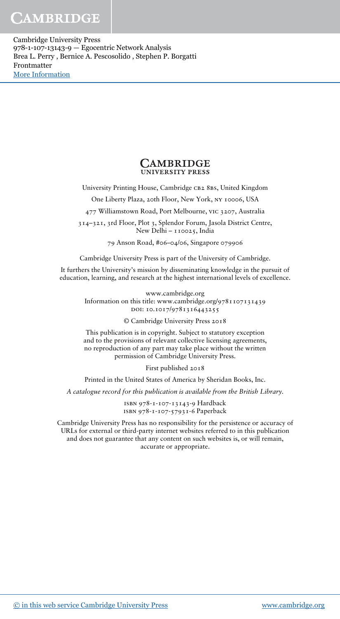#### **CAMBRIDGE UNIVERSITY PRESS**

University Printing House, Cambridge cb2 8bs, United Kingdom

One Liberty Plaza, 20th Floor, New York, ny 10006, USA

477 Williamstown Road, Port Melbourne, vic 3207, Australia

314–321, 3rd Floor, Plot 3, Splendor Forum, Jasola District Centre, New Delhi - 110025, India

79 Anson Road, #06–04/06, Singapore 079906

Cambridge University Press is part of the University of Cambridge.

It furthers the University's mission by disseminating knowledge in the pursuit of education, learning, and research at the highest international levels of excellence.

> www.cambridge.org Information on this title: www.cambridge.org/9781107131439 doi: 10.1017/9781316443255

> > © Cambridge University Press 2018

This publication is in copyright. Subject to statutory exception and to the provisions of relevant collective licensing agreements, no reproduction of any part may take place without the written permission of Cambridge University Press.

First published 2018

Printed in the United States of America by Sheridan Books, Inc.

A catalogue record for this publication is available from the British Library.

isbn 978-1-107-13143-9 Hardback isbn 978-1-107-57931-6 Paperback

Cambridge University Press has no responsibility for the persistence or accuracy of URLs for external or third-party internet websites referred to in this publication and does not guarantee that any content on such websites is, or will remain, accurate or appropriate.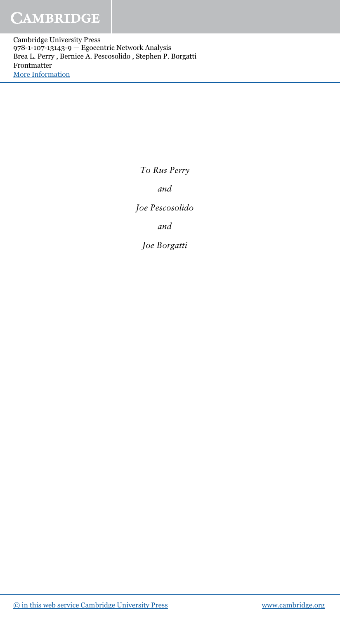Cambridge University Press 978-1-107-13143-9 — Egocentric Network Analysis Brea L. Perry , Bernice A. Pescosolido , Stephen P. Borgatti Frontmatter [More Information](www.cambridge.org/9781107131439)

*To Rus Perry*

*and*

*Joe Pescosolido*

*and*

*Joe Borgatti*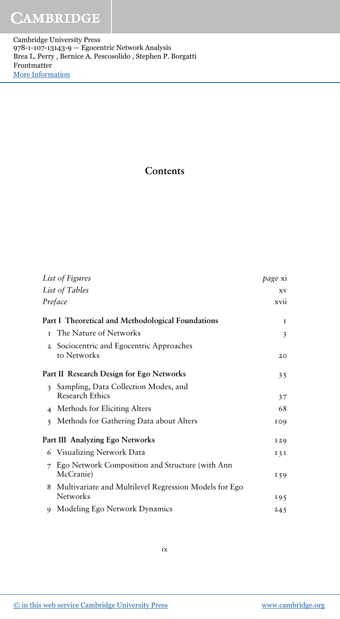### **Contents**

|                         | List of Figures                                       | page xi         |
|-------------------------|-------------------------------------------------------|-----------------|
|                         | List of Tables                                        | XV              |
|                         | Preface                                               | xvii            |
|                         | Part I Theoretical and Methodological Foundations     | I               |
| T                       | The Nature of Networks                                | 3               |
| $\mathbf{2}$            | Sociocentric and Egocentric Approaches                |                 |
|                         | to Networks                                           | 20              |
|                         | Part II Research Design for Ego Networks              | 35              |
| $\overline{\mathbf{3}}$ | Sampling, Data Collection Modes, and                  |                 |
|                         | <b>Research Ethics</b>                                | 37              |
| $\overline{4}$          | Methods for Eliciting Alters                          | 68              |
| $\overline{\mathbf{S}}$ | Methods for Gathering Data about Alters               | 109             |
|                         | Part III Analyzing Ego Networks                       | <b>129</b>      |
| 6                       | Visualizing Network Data                              | 13 <sub>1</sub> |
| 7                       | Ego Network Composition and Structure (with Ann       |                 |
|                         | McCranie)                                             | 159             |
| 8                       | Multivariate and Multilevel Regression Models for Ego |                 |
|                         | <b>Networks</b>                                       | 195             |
|                         | 9 Modeling Ego Network Dynamics                       | 245             |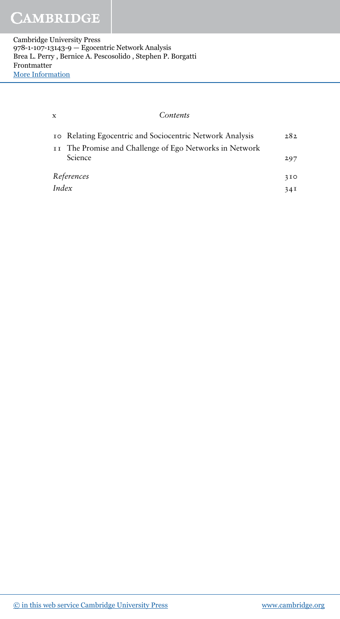| X     | Contents                                                 |      |
|-------|----------------------------------------------------------|------|
|       | 10 Relating Egocentric and Sociocentric Network Analysis | 282  |
|       | II The Promise and Challenge of Ego Networks in Network  |      |
|       | Science                                                  | 297  |
|       | References                                               | 3IO  |
| Index |                                                          | 34 I |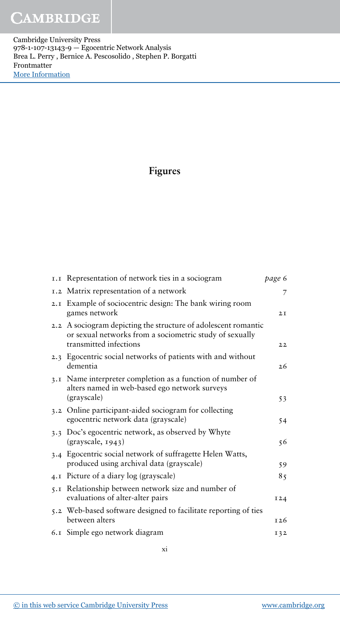### Figures

|     | 1.1 Representation of network ties in a sociogram                                                                                                   | page 6         |
|-----|-----------------------------------------------------------------------------------------------------------------------------------------------------|----------------|
|     | 1.2 Matrix representation of a network                                                                                                              | 7              |
| 2.1 | Example of sociocentric design: The bank wiring room<br>games network                                                                               | 2I             |
|     | 2.2 A sociogram depicting the structure of adolescent romantic<br>or sexual networks from a sociometric study of sexually<br>transmitted infections | 22             |
|     | 2.3 Egocentric social networks of patients with and without<br>dementia                                                                             | 26             |
|     | 3.1 Name interpreter completion as a function of number of<br>alters named in web-based ego network surveys<br>(grayscale)                          | 53             |
|     | 3.2 Online participant-aided sociogram for collecting<br>egocentric network data (grayscale)                                                        | 54             |
| 3.3 | Doc's egocentric network, as observed by Whyte<br>(gray scale, 1943)                                                                                | 56             |
|     | 3.4 Egocentric social network of suffragette Helen Watts,<br>produced using archival data (grayscale)                                               | 59             |
|     | 4.1 Picture of a diary log (grayscale)                                                                                                              | 8 <sub>5</sub> |
| 5.1 | Relationship between network size and number of<br>evaluations of alter-alter pairs                                                                 | I24            |
|     | 5.2 Web-based software designed to facilitate reporting of ties<br>between alters                                                                   | T26            |
|     | 6.1 Simple ego network diagram                                                                                                                      | 132            |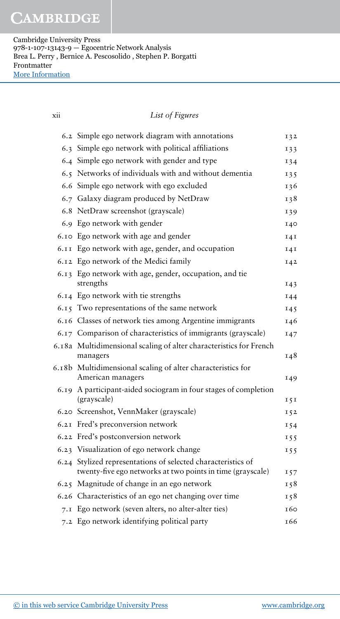| xii  | List of Figures                                                                                                            |            |
|------|----------------------------------------------------------------------------------------------------------------------------|------------|
|      | 6.2 Simple ego network diagram with annotations                                                                            | 132        |
|      | 6.3 Simple ego network with political affiliations                                                                         | 133        |
|      | 6.4 Simple ego network with gender and type                                                                                | 134        |
|      | 6.5 Networks of individuals with and without dementia                                                                      | 135        |
|      | 6.6 Simple ego network with ego excluded                                                                                   | 136        |
|      | 6.7 Galaxy diagram produced by NetDraw                                                                                     | 138        |
|      | 6.8 NetDraw screenshot (grayscale)                                                                                         | 139        |
|      | 6.9 Ego network with gender                                                                                                | 140        |
|      | 6.10 Ego network with age and gender                                                                                       | 14I        |
|      | 6.11 Ego network with age, gender, and occupation                                                                          | 141        |
|      | 6.12 Ego network of the Medici family                                                                                      | 142        |
|      | 6.13 Ego network with age, gender, occupation, and tie<br>strengths                                                        | 143        |
|      | 6.14 Ego network with tie strengths                                                                                        | 144        |
|      | 6.15 Two representations of the same network                                                                               | 145        |
|      | 6.16 Classes of network ties among Argentine immigrants                                                                    | 146        |
|      | 6.17 Comparison of characteristics of immigrants (grayscale)                                                               | 147        |
|      | 6.18a Multidimensional scaling of alter characteristics for French<br>managers                                             | 148        |
|      | 6.18b Multidimensional scaling of alter characteristics for<br>American managers                                           | 149        |
| 6.19 | A participant-aided sociogram in four stages of completion<br>(grayscale)                                                  | 151        |
|      | 6.20 Screenshot, VennMaker (grayscale)                                                                                     | 152        |
|      | 6.21 Fred's preconversion network                                                                                          | 154        |
|      | 6.22 Fred's postconversion network                                                                                         | 155        |
|      | 6.23 Visualization of ego network change                                                                                   | 155        |
|      | 6.24 Stylized representations of selected characteristics of<br>twenty-five ego networks at two points in time (grayscale) | <b>157</b> |
|      | 6.25 Magnitude of change in an ego network                                                                                 | 158        |
|      | 6.26 Characteristics of an ego net changing over time                                                                      | I 58       |
|      | 7.1 Ego network (seven alters, no alter-alter ties)                                                                        | 160        |
|      | 7.2 Ego network identifying political party                                                                                | 166        |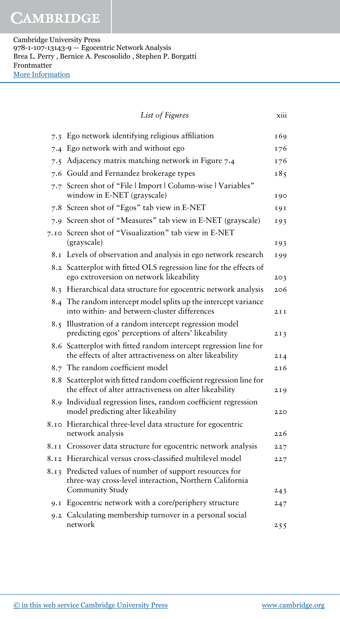|               | List of Figures                                                                                                                       | xiii            |
|---------------|---------------------------------------------------------------------------------------------------------------------------------------|-----------------|
| 7.3           | Ego network identifying religious affiliation                                                                                         | 169             |
|               | 7.4 Ego network with and without ego                                                                                                  | 176             |
|               | 7.5 Adjacency matrix matching network in Figure 7.4                                                                                   | 176             |
|               | 7.6 Gould and Fernandez brokerage types                                                                                               | 185             |
|               | 7.7 Screen shot of "File   Import   Column-wise   Variables"<br>window in E-NET (grayscale)                                           | 190             |
|               | 7.8 Screen shot of "Egos" tab view in E-NET                                                                                           | 191             |
|               | 7.9 Screen shot of "Measures" tab view in E-NET (grayscale)                                                                           | 193             |
|               | 7.10 Screen shot of "Visualization" tab view in E-NET<br>(grayscale)                                                                  | 193             |
|               | 8.1 Levels of observation and analysis in ego network research                                                                        | 199             |
|               | 8.2 Scatterplot with fitted OLS regression line for the effects of<br>ego extroversion on network likeability                         | 203             |
|               | 8.3 Hierarchical data structure for egocentric network analysis                                                                       | 206             |
|               | 8.4 The random intercept model splits up the intercept variance<br>into within- and between-cluster differences                       | 2II             |
| $8.5^{\circ}$ | Illustration of a random intercept regression model<br>predicting egos' perceptions of alters' likeability                            | 2I <sub>3</sub> |
|               | 8.6 Scatterplot with fitted random intercept regression line for<br>the effects of alter attractiveness on alter likeability          | 2I4             |
|               | 8.7 The random coefficient model                                                                                                      | 216             |
|               | 8.8 Scatterplot with fitted random coefficient regression line for<br>the effect of alter attractiveness on alter likeability         | 219             |
|               | 8.9 Individual regression lines, random coefficient regression<br>model predicting alter likeability                                  | 220             |
|               | 8.10 Hierarchical three-level data structure for egocentric<br>network analysis                                                       | 226             |
|               | 8.11 Crossover data structure for egocentric network analysis                                                                         | 227             |
|               | 8.12 Hierarchical versus cross-classified multilevel model                                                                            | 227             |
|               | 8.13 Predicted values of number of support resources for<br>three-way cross-level interaction, Northern California<br>Community Study |                 |
|               | 9.1 Egocentric network with a core/periphery structure                                                                                | 243<br>247      |
|               | 9.2 Calculating membership turnover in a personal social                                                                              |                 |
|               | network                                                                                                                               | 255             |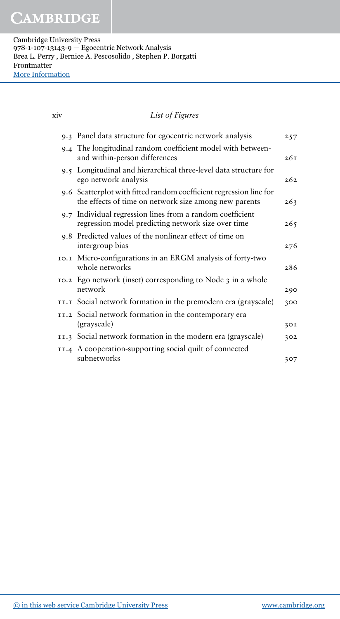| xiv  | List of Figures                                                                                                             |     |
|------|-----------------------------------------------------------------------------------------------------------------------------|-----|
|      | 9.3 Panel data structure for egocentric network analysis                                                                    | 257 |
|      | 9.4 The longitudinal random coefficient model with between-<br>and within-person differences                                | 26T |
|      | 9.5 Longitudinal and hierarchical three-level data structure for<br>ego network analysis                                    | 262 |
|      | 9.6 Scatterplot with fitted random coefficient regression line for<br>the effects of time on network size among new parents | 263 |
| 9.7  | Individual regression lines from a random coefficient<br>regression model predicting network size over time                 | 265 |
|      | 9.8 Predicted values of the nonlinear effect of time on<br>intergroup bias                                                  | 276 |
| IO.I | Micro-configurations in an ERGM analysis of forty-two<br>whole networks                                                     | 286 |
|      | 10.2 Ego network (inset) corresponding to Node 3 in a whole<br>network                                                      | 290 |
|      | II.I Social network formation in the premodern era (grayscale)                                                              | 300 |
|      | 11.2 Social network formation in the contemporary era<br>(grayscale)                                                        | 30I |
|      | 11.3 Social network formation in the modern era (grayscale)                                                                 | 302 |
|      | 11.4 A cooperation-supporting social quilt of connected<br>subnetworks                                                      | 307 |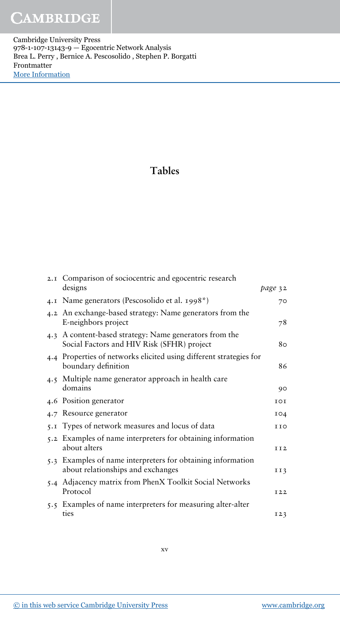### Tables

|     | 2.1 Comparison of sociocentric and egocentric research<br>designs                                    | page 32 |
|-----|------------------------------------------------------------------------------------------------------|---------|
|     | 4.1 Name generators (Pescosolido et al. 1998 <sup>*</sup> )                                          | 70      |
|     | 4.2 An exchange-based strategy: Name generators from the<br>E-neighbors project                      | 78      |
|     | 4.3 A content-based strategy: Name generators from the<br>Social Factors and HIV Risk (SFHR) project | 80      |
|     | 4.4 Properties of networks elicited using different strategies for<br>boundary definition            | 86      |
|     | 4.5 Multiple name generator approach in health care<br>domains                                       | 90      |
|     | 4.6 Position generator                                                                               | IOI     |
|     | 4.7 Resource generator                                                                               | IO4     |
|     | 5.1 Types of network measures and locus of data                                                      | 110     |
|     | 5.2 Examples of name interpreters for obtaining information<br>about alters                          | II2     |
|     | 5.3 Examples of name interpreters for obtaining information<br>about relationships and exchanges     | II3     |
|     | 5.4 Adjacency matrix from PhenX Toolkit Social Networks<br>Protocol                                  | I22     |
| 5.5 | Examples of name interpreters for measuring alter-alter<br>ties                                      | I23     |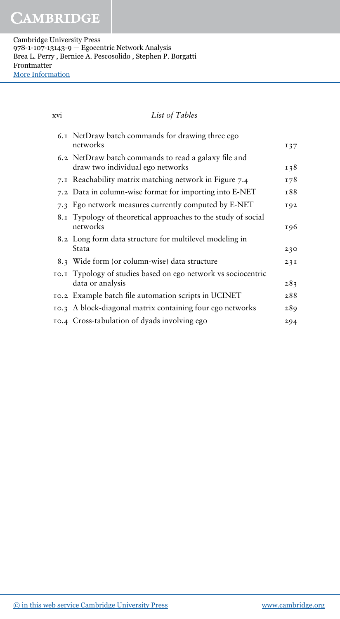6.1 NetDraw batch commands for drawing three ego networks 137 6.2 NetDraw batch commands to read a galaxy file and draw two individual ego networks 138 7.1 Reachability matrix matching network in Figure  $7.4$  178 7.2 Data in column-wise format for importing into E-NET 188 7.3 Ego network measures currently computed by E-NET 192 8.1 Typology of theoretical approaches to the study of social networks 196 8.2 Long form data structure for multilevel modeling in Stata 230 8.3 Wide form (or column-wise) data structure 23I 10.1 Typology of studies based on ego network vs sociocentric data or analysis 283 10.2 Example batch file automation scripts in UCINET 288 10.3 A block-diagonal matrix containing four ego networks 289 10.4 Cross-tabulation of dyads involving ego 294 xvi *List of Tables*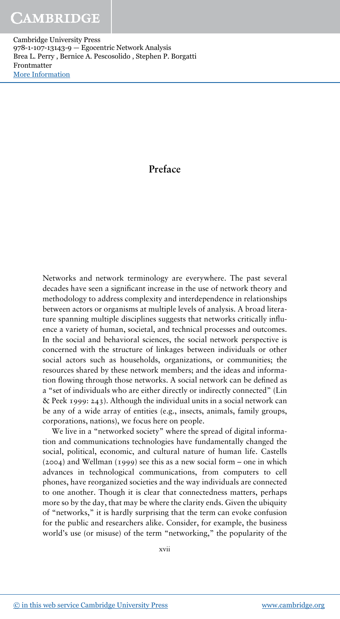### Preface

Networks and network terminology are everywhere. The past several decades have seen a significant increase in the use of network theory and methodology to address complexity and interdependence in relationships between actors or organisms at multiple levels of analysis. A broad literature spanning multiple disciplines suggests that networks critically influence a variety of human, societal, and technical processes and outcomes. In the social and behavioral sciences, the social network perspective is concerned with the structure of linkages between individuals or other social actors such as households, organizations, or communities; the resources shared by these network members; and the ideas and information flowing through those networks. A social network can be defined as a "set of individuals who are either directly or indirectly connected" (Lin & Peek 1999: 243). Although the individual units in a social network can be any of a wide array of entities (e.g., insects, animals, family groups, corporations, nations), we focus here on people.

We live in a "networked society" where the spread of digital information and communications technologies have fundamentally changed the social, political, economic, and cultural nature of human life. Castells (2004) and Wellman (1999) see this as a new social form – one in which advances in technological communications, from computers to cell phones, have reorganized societies and the way individuals are connected to one another. Though it is clear that connectedness matters, perhaps more so by the day, that may be where the clarity ends. Given the ubiquity of "networks," it is hardly surprising that the term can evoke confusion for the public and researchers alike. Consider, for example, the business world's use (or misuse) of the term "networking," the popularity of the

xvii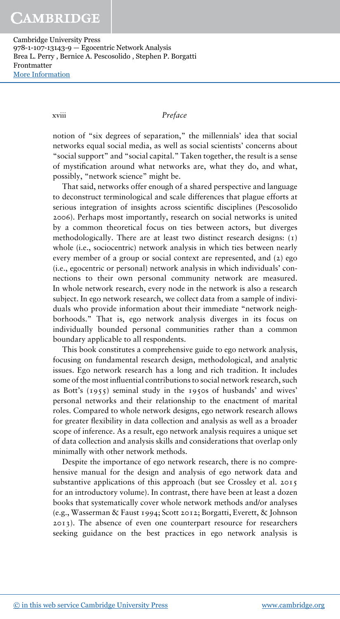#### xviii *Preface*

notion of "six degrees of separation," the millennials' idea that social networks equal social media, as well as social scientists' concerns about "social support" and "social capital." Taken together, the result is a sense of mystification around what networks are, what they do, and what, possibly, "network science" might be.

That said, networks offer enough of a shared perspective and language to deconstruct terminological and scale differences that plague efforts at serious integration of insights across scientific disciplines (Pescosolido 2006). Perhaps most importantly, research on social networks is united by a common theoretical focus on ties between actors, but diverges methodologically. There are at least two distinct research designs: (1) whole (i.e., sociocentric) network analysis in which ties between nearly every member of a group or social context are represented, and (2) ego (i.e., egocentric or personal) network analysis in which individuals' connections to their own personal community network are measured. In whole network research, every node in the network is also a research subject. In ego network research, we collect data from a sample of individuals who provide information about their immediate "network neighborhoods." That is, ego network analysis diverges in its focus on individually bounded personal communities rather than a common boundary applicable to all respondents.

This book constitutes a comprehensive guide to ego network analysis, focusing on fundamental research design, methodological, and analytic issues. Ego network research has a long and rich tradition. It includes some of the most influential contributions to social network research, such as Bott's (1955) seminal study in the 1950s of husbands' and wives' personal networks and their relationship to the enactment of marital roles. Compared to whole network designs, ego network research allows for greater flexibility in data collection and analysis as well as a broader scope of inference. As a result, ego network analysis requires a unique set of data collection and analysis skills and considerations that overlap only minimally with other network methods.

Despite the importance of ego network research, there is no comprehensive manual for the design and analysis of ego network data and substantive applications of this approach (but see Crossley et al. 2015 for an introductory volume). In contrast, there have been at least a dozen books that systematically cover whole network methods and/or analyses (e.g., Wasserman & Faust 1994; Scott 2012; Borgatti, Everett, & Johnson 2013). The absence of even one counterpart resource for researchers seeking guidance on the best practices in ego network analysis is